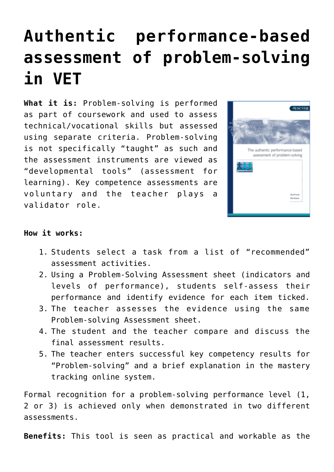## **[Authentic performance-based](http://entreassess.com/2018/05/29/authentic-performance-based-assessment-of-problem-solving-in-vet/) [assessment of problem-solving](http://entreassess.com/2018/05/29/authentic-performance-based-assessment-of-problem-solving-in-vet/) [in VET](http://entreassess.com/2018/05/29/authentic-performance-based-assessment-of-problem-solving-in-vet/)**

**What it is:** Problem-solving is performed as part of coursework and used to assess technical/vocational skills but assessed using separate criteria. Problem-solving is not specifically "taught" as such and the assessment instruments are viewed as "developmental tools" (assessment for learning). Key competence assessments are voluntary and the teacher plays a validator role.



## **How it works:**

- 1. Students select a task from a list of "recommended" assessment activities.
- 2. Using a Problem-Solving Assessment sheet (indicators and levels of performance), students self-assess their performance and identify evidence for each item ticked.
- 3. The teacher assesses the evidence using the same Problem-solving Assessment sheet.
- 4. The student and the teacher compare and discuss the final assessment results.
- 5. The teacher enters successful key competency results for "Problem-solving" and a brief explanation in the mastery tracking online system.

Formal recognition for a problem-solving performance level (1, 2 or 3) is achieved only when demonstrated in two different assessments.

**Benefits:** This tool is seen as practical and workable as the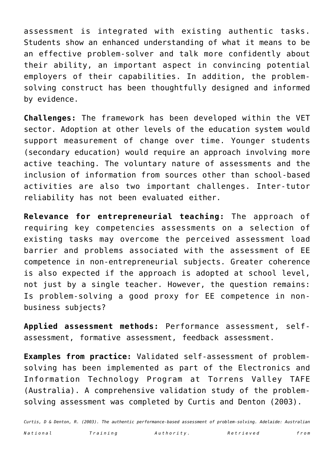assessment is integrated with existing authentic tasks. Students show an enhanced understanding of what it means to be an effective problem-solver and talk more confidently about their ability, an important aspect in convincing potential employers of their capabilities. In addition, the problemsolving construct has been thoughtfully designed and informed by evidence.

**Challenges:** The framework has been developed within the VET sector. Adoption at other levels of the education system would support measurement of change over time. Younger students (secondary education) would require an approach involving more active teaching. The voluntary nature of assessments and the inclusion of information from sources other than school-based activities are also two important challenges. Inter-tutor reliability has not been evaluated either.

**Relevance for entrepreneurial teaching:** The approach of requiring key competencies assessments on a selection of existing tasks may overcome the perceived assessment load barrier and problems associated with the assessment of EE competence in non-entrepreneurial subjects. Greater coherence is also expected if the approach is adopted at school level, not just by a single teacher. However, the question remains: Is problem-solving a good proxy for EE competence in nonbusiness subjects?

**Applied assessment methods:** Performance assessment, selfassessment, formative assessment, feedback assessment.

**Examples from practice:** Validated self-assessment of problemsolving has been implemented as part of the Electronics and Information Technology Program at Torrens Valley TAFE (Australia). A comprehensive validation study of the problemsolving assessment was completed by Curtis and Denton (2003).